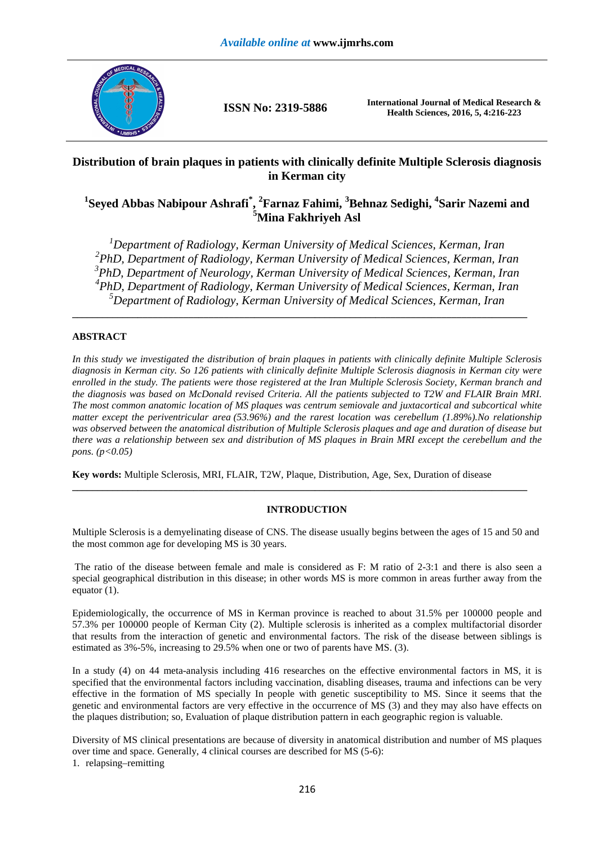

**ISSN No: 2319-5886 International Journal of Medical Research & Health Sciences, 2016, 5, 4:216-223** 

# **Distribution of brain plaques in patients with clinically definite Multiple Sclerosis diagnosis in Kerman city**

# $^1$ Seyed Abbas Nabipour Ashrafi $^*$ ,  $^2$ Farnaz Fahimi,  $^3$ Behnaz Sedighi,  $^4$ Sarir Nazemi and **<sup>5</sup>Mina Fakhriyeh Asl**

*Department of Radiology, Kerman University of Medical Sciences, Kerman, Iran PhD, Department of Radiology, Kerman University of Medical Sciences, Kerman, Iran PhD, Department of Neurology, Kerman University of Medical Sciences, Kerman, Iran PhD, Department of Radiology, Kerman University of Medical Sciences, Kerman, Iran Department of Radiology, Kerman University of Medical Sciences, Kerman, Iran*

**\_\_\_\_\_\_\_\_\_\_\_\_\_\_\_\_\_\_\_\_\_\_\_\_\_\_\_\_\_\_\_\_\_\_\_\_\_\_\_\_\_\_\_\_\_\_\_\_\_\_\_\_\_\_\_\_\_\_\_\_\_\_\_\_\_\_\_\_\_\_\_\_\_\_\_\_\_\_\_\_\_\_\_\_\_\_\_\_\_\_** 

## **ABSTRACT**

*In this study we investigated the distribution of brain plaques in patients with clinically definite Multiple Sclerosis diagnosis in Kerman city. So 126 patients with clinically definite Multiple Sclerosis diagnosis in Kerman city were enrolled in the study. The patients were those registered at the Iran Multiple Sclerosis Society, Kerman branch and the diagnosis was based on McDonald revised Criteria. All the patients subjected to T2W and FLAIR Brain MRI. The most common anatomic location of MS plaques was centrum semiovale and juxtacortical and subcortical white matter except the periventricular area (53.96%) and the rarest location was cerebellum (1.89%).No relationship was observed between the anatomical distribution of Multiple Sclerosis plaques and age and duration of disease but there was a relationship between sex and distribution of MS plaques in Brain MRI except the cerebellum and the pons.* ( $p < 0.05$ )

**Key words:** Multiple Sclerosis, MRI, FLAIR, T2W, Plaque, Distribution, Age, Sex, Duration of disease

## **INTRODUCTION**

**\_\_\_\_\_\_\_\_\_\_\_\_\_\_\_\_\_\_\_\_\_\_\_\_\_\_\_\_\_\_\_\_\_\_\_\_\_\_\_\_\_\_\_\_\_\_\_\_\_\_\_\_\_\_\_\_\_\_\_\_\_\_\_\_\_\_\_\_\_\_\_\_\_\_\_\_\_\_\_\_\_\_\_\_\_\_\_\_\_\_** 

Multiple Sclerosis is a demyelinating disease of CNS. The disease usually begins between the ages of 15 and 50 and the most common age for developing MS is 30 years.

 The ratio of the disease between female and male is considered as F: M ratio of 2-3:1 and there is also seen a special geographical distribution in this disease; in other words MS is more common in areas further away from the equator (1).

Epidemiologically, the occurrence of MS in Kerman province is reached to about 31.5% per 100000 people and 57.3% per 100000 people of Kerman City (2). Multiple sclerosis is inherited as a complex multifactorial disorder that results from the interaction of genetic and environmental factors. The risk of the disease between siblings is estimated as 3%-5%, increasing to 29.5% when one or two of parents have MS. (3).

In a study (4) on 44 meta-analysis including 416 researches on the effective environmental factors in MS, it is specified that the environmental factors including vaccination, disabling diseases, trauma and infections can be very effective in the formation of MS specially In people with genetic susceptibility to MS. Since it seems that the genetic and environmental factors are very effective in the occurrence of MS (3) and they may also have effects on the plaques distribution; so, Evaluation of plaque distribution pattern in each geographic region is valuable.

Diversity of MS clinical presentations are because of diversity in anatomical distribution and number of MS plaques over time and space. Generally, 4 clinical courses are described for MS (5-6): 1. relapsing–remitting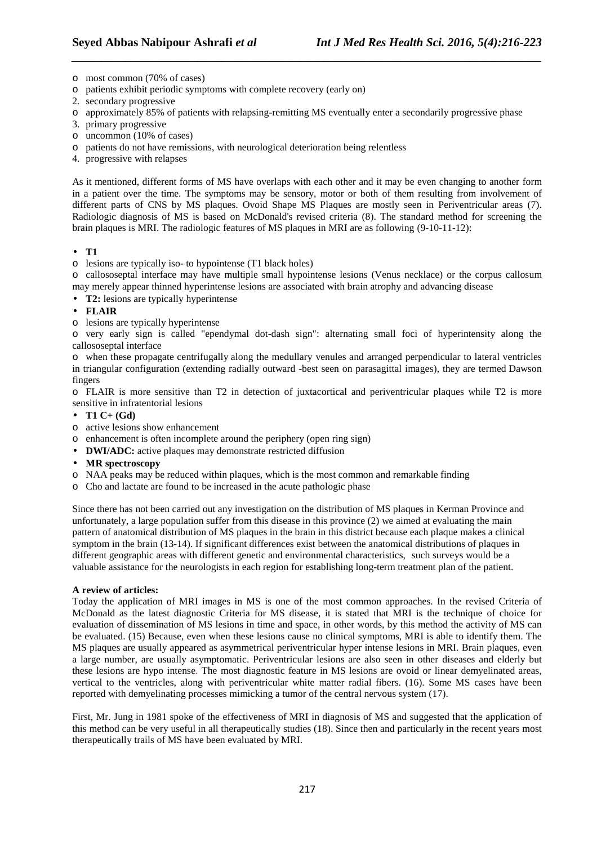- o most common (70% of cases)
- o patients exhibit periodic symptoms with complete recovery (early on)
- 2. secondary progressive
- o approximately 85% of patients with relapsing-remitting MS eventually enter a secondarily progressive phase

*\_\_\_\_\_\_\_\_\_\_\_\_\_\_\_\_\_\_\_\_\_\_\_\_\_\_\_\_\_\_\_\_\_\_\_\_\_\_\_\_\_\_\_\_\_\_\_\_\_\_\_\_\_\_\_\_\_\_\_\_\_\_\_\_\_\_\_\_\_\_\_\_\_\_\_\_\_\_*

- 3. primary progressive
- o uncommon (10% of cases)
- o patients do not have remissions, with neurological deterioration being relentless
- 4. progressive with relapses

As it mentioned, different forms of MS have overlaps with each other and it may be even changing to another form in a patient over the time. The symptoms may be sensory, motor or both of them resulting from involvement of different parts of CNS by MS plaques. Ovoid Shape MS Plaques are mostly seen in Periventricular areas (7). Radiologic diagnosis of MS is based on McDonald's revised criteria (8). The standard method for screening the brain plaques is MRI. The radiologic features of MS plaques in MRI are as following (9-10-11-12):

#### • **T1**

o lesions are typically iso- to hypointense (T1 black holes)

o callososeptal interface may have multiple small hypointense lesions (Venus necklace) or the corpus callosum may merely appear thinned hyperintense lesions are associated with brain atrophy and advancing disease

- **T2:** lesions are typically hyperintense
- **FLAIR**
- o lesions are typically hyperintense

o very early sign is called "ependymal dot-dash sign": alternating small foci of hyperintensity along the callososeptal interface

o when these propagate centrifugally along the medullary venules and arranged perpendicular to lateral ventricles in triangular configuration (extending radially outward -best seen on parasagittal images), they are termed Dawson fingers

o FLAIR is more sensitive than T2 in detection of juxtacortical and periventricular plaques while T2 is more sensitive in infratentorial lesions

- **T1 C+ (Gd)**
- o active lesions show enhancement
- o enhancement is often incomplete around the periphery (open ring sign)
- **DWI/ADC:** active plaques may demonstrate restricted diffusion
- **MR spectroscopy**
- o NAA peaks may be reduced within plaques, which is the most common and remarkable finding
- o Cho and lactate are found to be increased in the acute pathologic phase

Since there has not been carried out any investigation on the distribution of MS plaques in Kerman Province and unfortunately, a large population suffer from this disease in this province (2) we aimed at evaluating the main pattern of anatomical distribution of MS plaques in the brain in this district because each plaque makes a clinical symptom in the brain (13-14). If significant differences exist between the anatomical distributions of plaques in different geographic areas with different genetic and environmental characteristics, such surveys would be a valuable assistance for the neurologists in each region for establishing long-term treatment plan of the patient.

#### **A review of articles:**

Today the application of MRI images in MS is one of the most common approaches. In the revised Criteria of McDonald as the latest diagnostic Criteria for MS disease, it is stated that MRI is the technique of choice for evaluation of dissemination of MS lesions in time and space, in other words, by this method the activity of MS can be evaluated. (15) Because, even when these lesions cause no clinical symptoms, MRI is able to identify them. The MS plaques are usually appeared as asymmetrical periventricular hyper intense lesions in MRI. Brain plaques, even a large number, are usually asymptomatic. Periventricular lesions are also seen in other diseases and elderly but these lesions are hypo intense. The most diagnostic feature in MS lesions are ovoid or linear demyelinated areas, vertical to the ventricles, along with periventricular white matter radial fibers. (16). Some MS cases have been reported with demyelinating processes mimicking a tumor of the central nervous system (17).

First, Mr. Jung in 1981 spoke of the effectiveness of MRI in diagnosis of MS and suggested that the application of this method can be very useful in all therapeutically studies (18). Since then and particularly in the recent years most therapeutically trails of MS have been evaluated by MRI.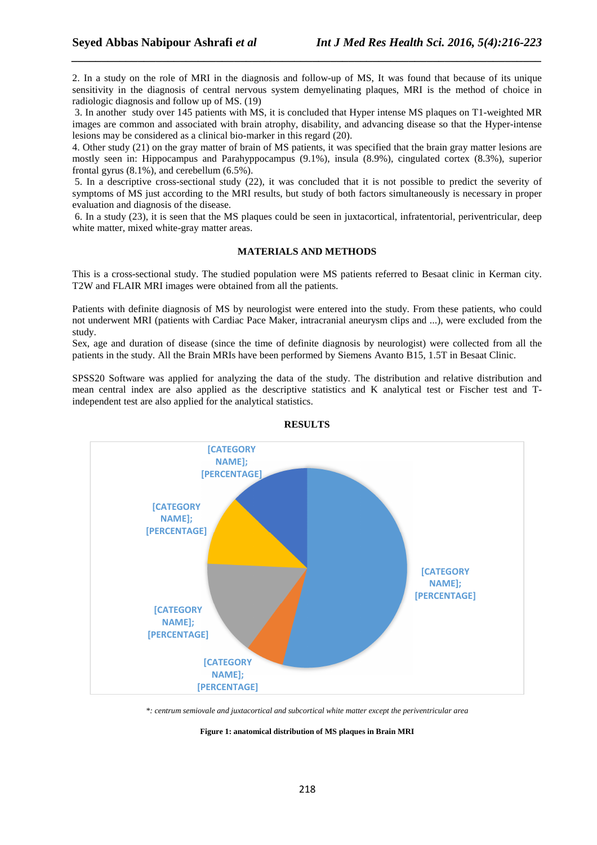2. In a study on the role of MRI in the diagnosis and follow-up of MS, It was found that because of its unique sensitivity in the diagnosis of central nervous system demyelinating plaques, MRI is the method of choice in radiologic diagnosis and follow up of MS. (19)

*\_\_\_\_\_\_\_\_\_\_\_\_\_\_\_\_\_\_\_\_\_\_\_\_\_\_\_\_\_\_\_\_\_\_\_\_\_\_\_\_\_\_\_\_\_\_\_\_\_\_\_\_\_\_\_\_\_\_\_\_\_\_\_\_\_\_\_\_\_\_\_\_\_\_\_\_\_\_*

 3. In another study over 145 patients with MS, it is concluded that Hyper intense MS plaques on T1-weighted MR images are common and associated with brain atrophy, disability, and advancing disease so that the Hyper-intense lesions may be considered as a clinical bio-marker in this regard (20).

4. Other study (21) on the gray matter of brain of MS patients, it was specified that the brain gray matter lesions are mostly seen in: Hippocampus and Parahyppocampus (9.1%), insula (8.9%), cingulated cortex (8.3%), superior frontal gyrus (8.1%), and cerebellum (6.5%).

 5. In a descriptive cross-sectional study (22), it was concluded that it is not possible to predict the severity of symptoms of MS just according to the MRI results, but study of both factors simultaneously is necessary in proper evaluation and diagnosis of the disease.

 6. In a study (23), it is seen that the MS plaques could be seen in juxtacortical, infratentorial, periventricular, deep white matter, mixed white-gray matter areas.

### **MATERIALS AND METHODS**

This is a cross-sectional study. The studied population were MS patients referred to Besaat clinic in Kerman city. T2W and FLAIR MRI images were obtained from all the patients.

Patients with definite diagnosis of MS by neurologist were entered into the study. From these patients, who could not underwent MRI (patients with Cardiac Pace Maker, intracranial aneurysm clips and ...), were excluded from the study.

Sex, age and duration of disease (since the time of definite diagnosis by neurologist) were collected from all the patients in the study. All the Brain MRIs have been performed by Siemens Avanto B15, 1.5T in Besaat Clinic.

SPSS20 Software was applied for analyzing the data of the study. The distribution and relative distribution and mean central index are also applied as the descriptive statistics and K analytical test or Fischer test and Tindependent test are also applied for the analytical statistics.



**RESULTS** 

*\*: centrum semiovale and juxtacortical and subcortical white matter except the periventricular area* 

#### **Figure 1: anatomical distribution of MS plaques in Brain MRI**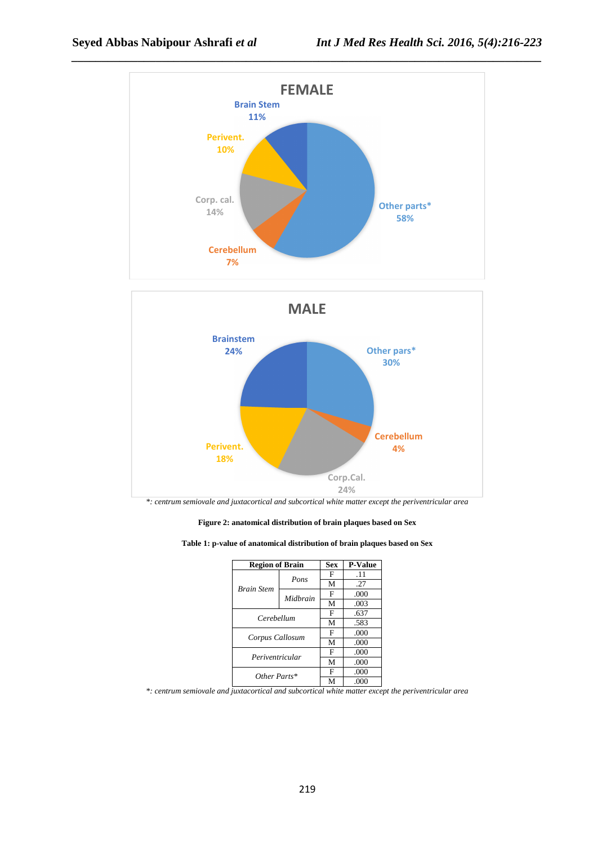



*\*: centrum semiovale and juxtacortical and subcortical white matter except the periventricular area* 

**Figure 2: anatomical distribution of brain plaques based on Sex** 

|  | Table 1: p-value of anatomical distribution of brain plaques based on Sex |  |  |
|--|---------------------------------------------------------------------------|--|--|
|  |                                                                           |  |  |

| <b>Region of Brain</b> | <b>Sex</b> | <b>P-Value</b> |      |  |
|------------------------|------------|----------------|------|--|
|                        | Pons       | F              | .11  |  |
| <b>Brain Stem</b>      |            | M              | .27  |  |
|                        | Midhrain   | F              | .000 |  |
|                        |            | M              | .003 |  |
| Cerebellum             | F          | .637           |      |  |
|                        | M          | .583           |      |  |
| Corpus Callosum        | F          | .000           |      |  |
|                        | M          | .000           |      |  |
| Periventricular        | F          | .000           |      |  |
|                        | M          | .000           |      |  |
| Other Parts*           | F          | .000           |      |  |
|                        | M          | .000           |      |  |

*\*: centrum semiovale and juxtacortical and subcortical white matter except the periventricular area*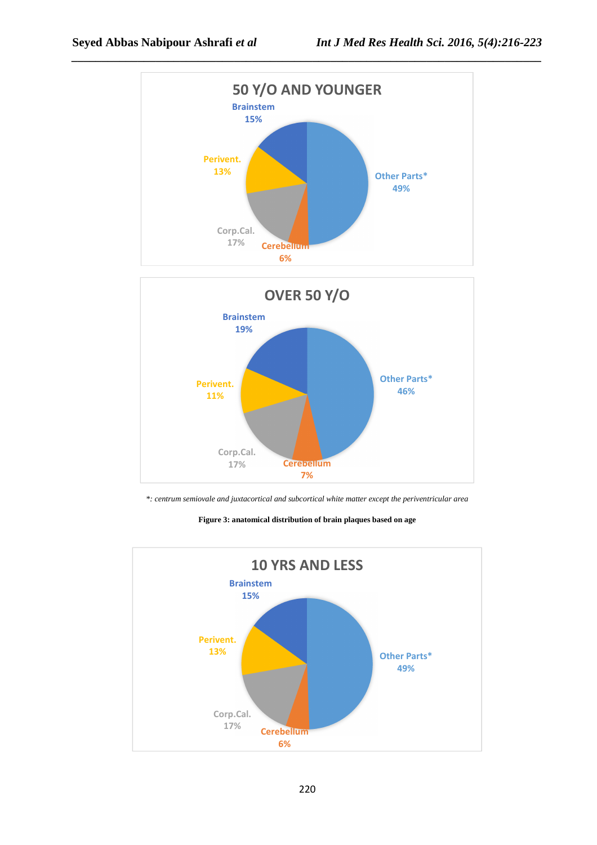



*\*: centrum semiovale and juxtacortical and subcortical white matter except the periventricular area* 

**Figure 3: anatomical distribution of brain plaques based on age** 

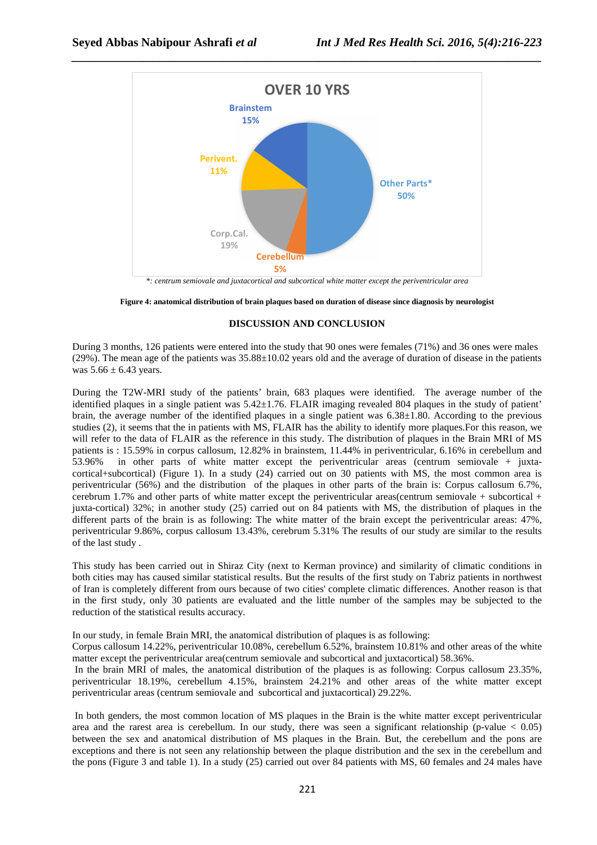

*\_\_\_\_\_\_\_\_\_\_\_\_\_\_\_\_\_\_\_\_\_\_\_\_\_\_\_\_\_\_\_\_\_\_\_\_\_\_\_\_\_\_\_\_\_\_\_\_\_\_\_\_\_\_\_\_\_\_\_\_\_\_\_\_\_\_\_\_\_\_\_\_\_\_\_\_\_\_*

*\*: centrum semiovale and juxtacortical and subcortical white matter except the periventricular area* 

**Figure 4: anatomical distribution of brain plaques based on duration of disease since diagnosis by neurologist** 

### **DISCUSSION AND CONCLUSION**

During 3 months, 126 patients were entered into the study that 90 ones were females (71%) and 36 ones were males (29%). The mean age of the patients was 35.88±10.02 years old and the average of duration of disease in the patients was  $5.66 \pm 6.43$  years.

During the T2W-MRI study of the patients' brain, 683 plaques were identified. The average number of the identified plaques in a single patient was 5.42±1.76. FLAIR imaging revealed 804 plaques in the study of patient' brain, the average number of the identified plaques in a single patient was  $6.38\pm1.80$ . According to the previous studies (2), it seems that the in patients with MS, FLAIR has the ability to identify more plaques.For this reason, we will refer to the data of FLAIR as the reference in this study. The distribution of plaques in the Brain MRI of MS patients is : 15.59% in corpus callosum, 12.82% in brainstem, 11.44% in periventricular, 6.16% in cerebellum and 53.96% in other parts of white matter except the periventricular areas (centrum semiovale + juxtacortical+subcortical) (Figure 1). In a study (24) carried out on 30 patients with MS, the most common area is periventricular (56%) and the distribution of the plaques in other parts of the brain is: Corpus callosum 6.7%, cerebrum 1.7% and other parts of white matter except the periventricular areas(centrum semiovale + subcortical + juxta-cortical) 32%; in another study (25) carried out on 84 patients with MS, the distribution of plaques in the different parts of the brain is as following: The white matter of the brain except the periventricular areas: 47%, periventricular 9.86%, corpus callosum 13.43%, cerebrum 5.31% The results of our study are similar to the results of the last study .

This study has been carried out in Shiraz City (next to Kerman province) and similarity of climatic conditions in both cities may has caused similar statistical results. But the results of the first study on Tabriz patients in northwest of Iran is completely different from ours because of two cities' complete climatic differences. Another reason is that in the first study, only 30 patients are evaluated and the little number of the samples may be subjected to the reduction of the statistical results accuracy.

In our study, in female Brain MRI, the anatomical distribution of plaques is as following:

Corpus callosum 14.22%, periventricular 10.08%, cerebellum 6.52%, brainstem 10.81% and other areas of the white matter except the periventricular area(centrum semiovale and subcortical and juxtacortical) 58.36%.

 In the brain MRI of males, the anatomical distribution of the plaques is as following: Corpus callosum 23.35%, periventricular 18.19%, cerebellum 4.15%, brainstem 24.21% and other areas of the white matter except periventricular areas (centrum semiovale and subcortical and juxtacortical) 29.22%.

 In both genders, the most common location of MS plaques in the Brain is the white matter except periventricular area and the rarest area is cerebellum. In our study, there was seen a significant relationship (p-value  $< 0.05$ ) between the sex and anatomical distribution of MS plaques in the Brain. But, the cerebellum and the pons are exceptions and there is not seen any relationship between the plaque distribution and the sex in the cerebellum and the pons (Figure 3 and table 1). In a study (25) carried out over 84 patients with MS, 60 females and 24 males have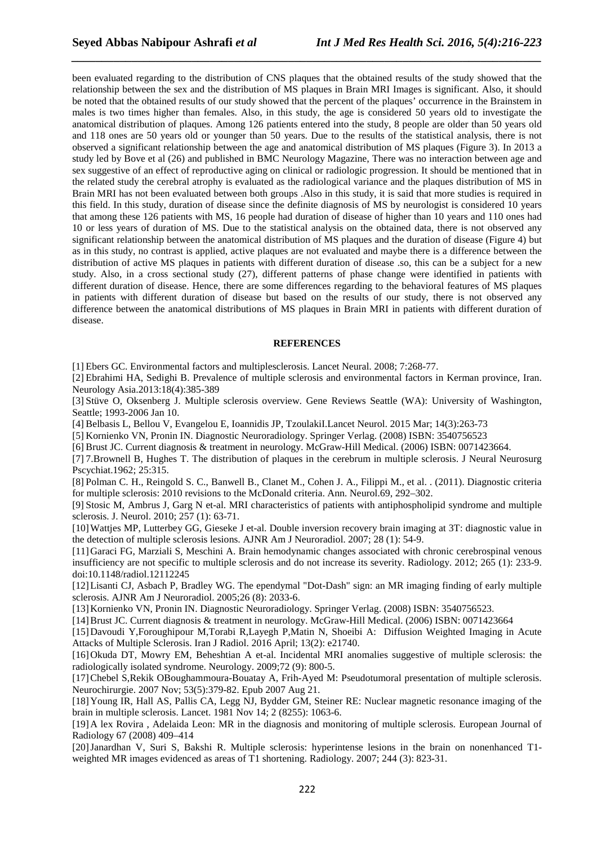been evaluated regarding to the distribution of CNS plaques that the obtained results of the study showed that the relationship between the sex and the distribution of MS plaques in Brain MRI Images is significant. Also, it should be noted that the obtained results of our study showed that the percent of the plaques' occurrence in the Brainstem in males is two times higher than females. Also, in this study, the age is considered 50 years old to investigate the anatomical distribution of plaques. Among 126 patients entered into the study, 8 people are older than 50 years old and 118 ones are 50 years old or younger than 50 years. Due to the results of the statistical analysis, there is not observed a significant relationship between the age and anatomical distribution of MS plaques (Figure 3). In 2013 a study led by Bove et al (26) and published in BMC Neurology Magazine, There was no interaction between age and sex suggestive of an effect of reproductive aging on clinical or radiologic progression. It should be mentioned that in the related study the cerebral atrophy is evaluated as the radiological variance and the plaques distribution of MS in Brain MRI has not been evaluated between both groups .Also in this study, it is said that more studies is required in this field. In this study, duration of disease since the definite diagnosis of MS by neurologist is considered 10 years that among these 126 patients with MS, 16 people had duration of disease of higher than 10 years and 110 ones had 10 or less years of duration of MS. Due to the statistical analysis on the obtained data, there is not observed any significant relationship between the anatomical distribution of MS plaques and the duration of disease (Figure 4) but as in this study, no contrast is applied, active plaques are not evaluated and maybe there is a difference between the distribution of active MS plaques in patients with different duration of disease .so, this can be a subject for a new study. Also, in a cross sectional study (27), different patterns of phase change were identified in patients with different duration of disease. Hence, there are some differences regarding to the behavioral features of MS plaques in patients with different duration of disease but based on the results of our study, there is not observed any difference between the anatomical distributions of MS plaques in Brain MRI in patients with different duration of disease.

*\_\_\_\_\_\_\_\_\_\_\_\_\_\_\_\_\_\_\_\_\_\_\_\_\_\_\_\_\_\_\_\_\_\_\_\_\_\_\_\_\_\_\_\_\_\_\_\_\_\_\_\_\_\_\_\_\_\_\_\_\_\_\_\_\_\_\_\_\_\_\_\_\_\_\_\_\_\_*

#### **REFERENCES**

[1] Ebers GC. Environmental factors and multiplesclerosis. Lancet Neural. 2008; 7:268-77.

[2] Ebrahimi HA, Sedighi B. Prevalence of multiple sclerosis and environmental factors in Kerman province, Iran. Neurology Asia.2013:18(4):385-389

[3] Stüve O, Oksenberg J. Multiple sclerosis overview. Gene Reviews Seattle (WA): University of Washington, Seattle; 1993-2006 Jan 10.

[4] Belbasis L, Bellou V, Evangelou E, Ioannidis JP, TzoulakiI.Lancet Neurol. 2015 Mar; 14(3):263-73

[5] Kornienko VN, Pronin IN. Diagnostic Neuroradiology. Springer Verlag. (2008) ISBN: 3540756523

[6] Brust JC. Current diagnosis & treatment in neurology. McGraw-Hill Medical. (2006) ISBN: 0071423664.

[7] 7.Brownell B, Hughes T. The distribution of plaques in the cerebrum in multiple sclerosis. J Neural Neurosurg Pscychiat.1962; 25:315.

[8] Polman C. H., Reingold S. C., Banwell B., Clanet M., Cohen J. A., Filippi M., et al. . (2011). Diagnostic criteria for multiple sclerosis: 2010 revisions to the McDonald criteria. Ann. Neurol.69, 292–302.

[9] Stosic M, Ambrus J, Garg N et-al. MRI characteristics of patients with antiphospholipid syndrome and multiple sclerosis. J. Neurol. 2010; 257 (1): 63-71.

[10]Wattjes MP, Lutterbey GG, Gieseke J et-al. Double inversion recovery brain imaging at 3T: diagnostic value in the detection of multiple sclerosis lesions. AJNR Am J Neuroradiol. 2007; 28 (1): 54-9.

[11]Garaci FG, Marziali S, Meschini A. Brain hemodynamic changes associated with chronic cerebrospinal venous insufficiency are not specific to multiple sclerosis and do not increase its severity. Radiology. 2012; 265 (1): 233-9. doi:10.1148/radiol.12112245

[12]Lisanti CJ, Asbach P, Bradley WG. The ependymal "Dot-Dash" sign: an MR imaging finding of early multiple sclerosis. AJNR Am J Neuroradiol. 2005;26 (8): 2033-6.

[13]Kornienko VN, Pronin IN. Diagnostic Neuroradiology. Springer Verlag. (2008) ISBN: 3540756523.

[14]Brust JC. Current diagnosis & treatment in neurology. McGraw-Hill Medical. (2006) ISBN: 0071423664

[15]Davoudi Y,Foroughipour M,Torabi R,Layegh P,Matin N, Shoeibi A: Diffusion Weighted Imaging in Acute Attacks of Multiple Sclerosis. Iran J Radiol. 2016 April; 13(2): e21740.

[16]Okuda DT, Mowry EM, Beheshtian A et-al. Incidental MRI anomalies suggestive of multiple sclerosis: the radiologically isolated syndrome. Neurology. 2009;72 (9): 800-5.

[17]Chebel S,Rekik OBoughammoura-Bouatay A, Frih-Ayed M: Pseudotumoral presentation of multiple sclerosis. Neurochirurgie. 2007 Nov; 53(5):379-82. Epub 2007 Aug 21.

[18]Young IR, Hall AS, Pallis CA, Legg NJ, Bydder GM, Steiner RE: Nuclear magnetic resonance imaging of the brain in multiple sclerosis. Lancet. 1981 Nov 14; 2 (8255): 1063-6.

[19]A lex Rovira , Adelaida Leon: MR in the diagnosis and monitoring of multiple sclerosis. European Journal of Radiology 67 (2008) 409–414

[20]Janardhan V, Suri S, Bakshi R. Multiple sclerosis: hyperintense lesions in the brain on nonenhanced T1 weighted MR images evidenced as areas of T1 shortening. Radiology. 2007; 244 (3): 823-31.